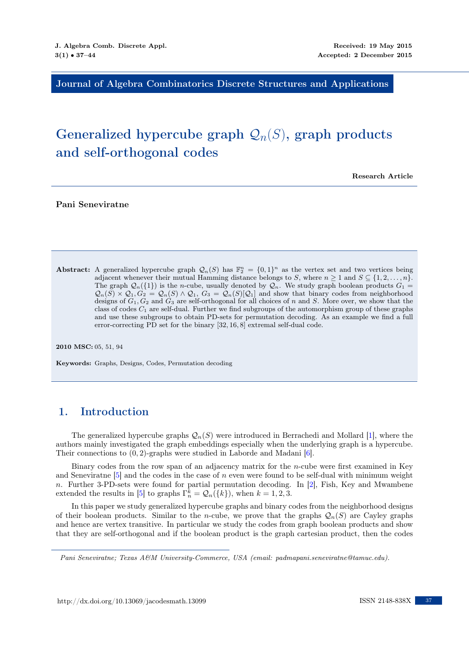Journal of Algebra Combinatorics Discrete Structures and Applications

# Generalized hypercube graph  $\mathcal{Q}_n(S)$ , graph products and self-orthogonal codes

Research Article

Pani Seneviratne

Abstract: A generalized hypercube graph  $\mathcal{Q}_n(S)$  has  $\mathbb{F}_2^n = \{0,1\}^n$  as the vertex set and two vertices being adjacent whenever their mutual Hamming distance belongs to S, where  $n \geq 1$  and  $S \subseteq \{1, 2, \ldots, n\}$ . The graph  $\mathcal{Q}_n({1})$  is the *n*-cube, usually denoted by  $\mathcal{Q}_n$ . We study graph boolean products  $G_1 =$  $\mathcal{Q}_n(S) \times \mathcal{Q}_1, G_2 = \mathcal{Q}_n(S) \wedge \mathcal{Q}_1, G_3 = \mathcal{Q}_n(S)[\mathcal{Q}_1]$  and show that binary codes from neighborhood designs of  $G_1, G_2$  and  $G_3$  are self-orthogonal for all choices of n and S. More over, we show that the class of codes  $C_1$  are self-dual. Further we find subgroups of the automorphism group of these graphs and use these subgroups to obtain PD-sets for permutation decoding. As an example we find a full error-correcting PD set for the binary [32, 16, 8] extremal self-dual code.

2010 MSC: 05, 51, 94

Keywords: Graphs, Designs, Codes, Permutation decoding

## 1. Introduction

The generalized hypercube graphs  $\mathcal{Q}_n(S)$  were introduced in Berrachedi and Mollard [\[1\]](#page-7-0), where the authors mainly investigated the graph embeddings especially when the underlying graph is a hypercube. Their connections to (0, 2)-graphs were studied in Laborde and Madani [\[6\]](#page-7-1).

Binary codes from the row span of an adjacency matrix for the n-cube were first examined in Key and Seneviration  $[5]$  and the codes in the case of n even were found to be self-dual with minimum weight n. Further 3-PD-sets were found for partial permutation decoding. In [\[2\]](#page-7-3), Fish, Key and Mwambene extended the results in [\[5\]](#page-7-2) to graphs  $\Gamma_n^k = \mathcal{Q}_n({k})$ , when  $k = 1, 2, 3$ .

In this paper we study generalized hypercube graphs and binary codes from the neighborhood designs of their boolean products. Similar to the *n*-cube, we prove that the graphs  $\mathcal{Q}_n(S)$  are Cayley graphs and hence are vertex transitive. In particular we study the codes from graph boolean products and show that they are self-orthogonal and if the boolean product is the graph cartesian product, then the codes

Pani Seneviratne; Texas A&M University-Commerce, USA (email: padmapani.seneviratne@tamuc.edu).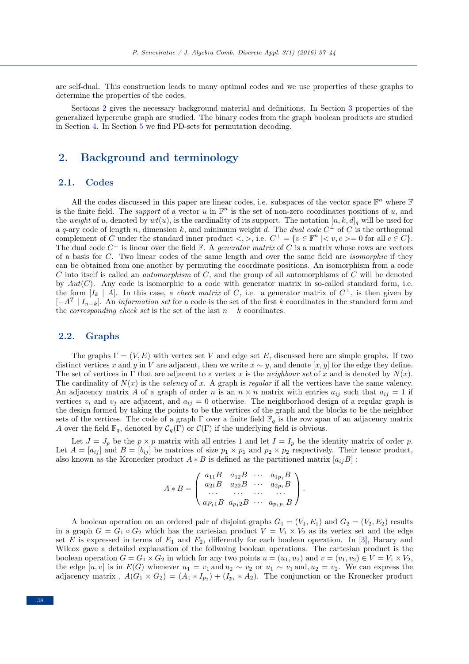are self-dual. This construction leads to many optimal codes and we use properties of these graphs to determine the properties of the codes.

Sections [2](#page-1-0) gives the necessary background material and definitions. In Section [3](#page-2-0) properties of the generalized hypercube graph are studied. The binary codes from the graph boolean products are studied in Section [4.](#page-3-0) In Section [5](#page-5-0) we find PD-sets for permutation decoding.

### <span id="page-1-0"></span>2. Background and terminology

#### 2.1. Codes

All the codes discussed in this paper are linear codes, i.e. subspaces of the vector space  $\mathbb{F}^n$  where  $\mathbb{F}$ is the finite field. The *support* of a vector u in  $\mathbb{F}^n$  is the set of non-zero coordinates positions of u, and the weight of u, denoted by  $wt(u)$ , is the cardinality of its support. The notation  $[n, k, d]_q$  will be used for a q-ary code of length n, dimension k, and minimum weight d. The dual code  $C^{\perp}$  of C is the orthogonal complement of C under the standard inner product  $\langle , \rangle$ , i.e.  $C^{\perp} = \{v \in \mathbb{F}^n \mid v, c \geq 0 \text{ for all } c \in C\}.$ The dual code  $C^{\perp}$  is linear over the field  $\mathbb{F}$ . A *generator matrix* of C is a matrix whose rows are vectors of a basis for C. Two linear codes of the same length and over the same field are *isomorphic* if they can be obtained from one another by permuting the coordinate positions. An isomorphism from a code C into itself is called an *automorphism* of C, and the group of all automorphisms of C will be denoted by  $Aut(C)$ . Any code is isomorphic to a code with generator matrix in so-called standard form, i.e. the form  $[I_k \mid A]$ . In this case, a *check matrix* of C, i.e. a generator matrix of  $C^{\perp}$ , is then given by  $[-A^T | I_{n-k}]$ . An *information set* for a code is the set of the first k coordinates in the standard form and the *corresponding check set* is the set of the last  $n - k$  coordinates.

#### 2.2. Graphs

The graphs  $\Gamma = (V, E)$  with vertex set V and edge set E, discussed here are simple graphs. If two distinct vertices x and y in V are adjacent, then we write  $x \sim y$ , and denote [x, y] for the edge they define. The set of vertices in  $\Gamma$  that are adjacent to a vertex x is the *neighbour set* of x and is denoted by  $N(x)$ . The cardinality of  $N(x)$  is the valency of x. A graph is regular if all the vertices have the same valency. An adjacency matrix A of a graph of order n is an  $n \times n$  matrix with entries  $a_{ij}$  such that  $a_{ij} = 1$  if vertices  $v_i$  and  $v_j$  are adjacent, and  $a_{ij} = 0$  otherwise. The neighborhood design of a regular graph is the design formed by taking the points to be the vertices of the graph and the blocks to be the neighbor sets of the vertices. The code of a graph  $\Gamma$  over a finite field  $\mathbb{F}_q$  is the row span of an adjacency matrix A over the field  $\mathbb{F}_q$ , denoted by  $\mathcal{C}_q(\Gamma)$  or  $\mathcal{C}(\Gamma)$  if the underlying field is obvious.

Let  $J = J_p$  be the  $p \times p$  matrix with all entries 1 and let  $I = I_p$  be the identity matrix of order p. Let  $A = [a_{ij}]$  and  $B = [b_{ij}]$  be matrices of size  $p_1 \times p_1$  and  $p_2 \times p_2$  respectively. Their tensor product, also known as the Kronecker product  $A * B$  is defined as the partitioned matrix  $[a_{ij}B]$ :

$$
A * B = \begin{pmatrix} a_{11}B & a_{12}B & \cdots & a_{1p_1}B \\ a_{21}B & a_{22}B & \cdots & a_{2p_1}B \\ \cdots & \cdots & \cdots & \cdots \\ a_{P_11}B & a_{p_12}B & \cdots & a_{p_1p_1}B \end{pmatrix}.
$$

A boolean operation on an ordered pair of disjoint graphs  $G_1 = (V_1, E_1)$  and  $G_2 = (V_2, E_2)$  results in a graph  $G = G_1 \circ G_2$  which has the cartesian product  $V = V_1 \times V_2$  as its vertex set and the edge set E is expressed in terms of  $E_1$  and  $E_2$ , differently for each boolean operation. In [\[3\]](#page-7-4), Harary and Wilcox gave a detailed explanation of the follwoing boolean operations. The cartesian product is the boolean operation  $G = G_1 \times G_2$  in which for any two points  $u = (u_1, u_2)$  and  $v = (v_1, v_2) \in V = V_1 \times V_2$ , the edge  $[u, v]$  is in  $E(G)$  whenever  $u_1 = v_1$  and  $u_2 \sim v_2$  or  $u_1 \sim v_1$  and,  $u_2 = v_2$ . We can express the adjacency matrix,  $A(G_1 \times G_2) = (A_1 * I_{p_2}) + (I_{p_1} * A_2)$ . The conjunction or the Kronecker product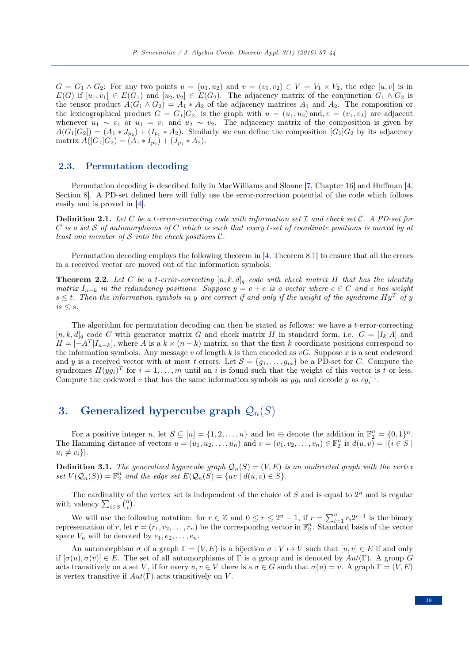$G = G_1 \wedge G_2$ : For any two points  $u = (u_1, u_2)$  and  $v = (v_1, v_2) \in V = V_1 \times V_2$ , the edge  $[u, v]$  is in  $E(G)$  if  $[u_1, v_1] \in E(G_1)$  and  $[u_2, v_2] \in E(G_2)$ . The adjacency matrix of the conjunction  $G_1 \wedge G_2$  is the tensor product  $A(G_1 \wedge G_2) = A_1 * A_2$  of the adjacency matrices  $A_1$  and  $A_2$ . The composition or the lexicographical product  $G = G_1[G_2]$  is the graph with  $u = (u_1, u_2)$  and,  $v = (v_1, v_2)$  are adjacent whenever  $u_1 \sim v_1$  or  $u_1 = v_1$  and  $u_2 \sim v_2$ . The adjacency matrix of the composition is given by  $A(G_1[G_2]) = (A_1 * J_{p_2}) + (I_{p_1} * A_2)$ . Similarly we can define the composition  $[G_1]G_2$  by its adjacency matrix  $A([G_1]G_2) = (A_1 * I_{p_2}) + (J_{p_1} * A_2).$ 

#### 2.3. Permutation decoding

Permutation decoding is described fully in MacWilliams and Sloane [\[7,](#page-7-5) Chapter 16] and Huffman [\[4,](#page-7-6) Section 8]. A PD-set defined here will fully use the error-correction potential of the code which follows easily and is proved in [\[4\]](#page-7-6).

**Definition 2.1.** Let C be a t-error-correcting code with information set I and check set C. A PD-set for  $C$  is a set  $S$  of automorphisms of  $C$  which is such that every t-set of coordinate positions is moved by at least one member of  $S$  into the check positions  $C$ .

Permutation decoding employs the following theorem in [\[4,](#page-7-6) Theorem 8.1] to ensure that all the errors in a received vector are moved out of the information symbols.

**Theorem 2.2.** Let C be a t-error-correcting  $[n, k, d]_q$  code with check matrix H that has the identity matrix  $I_{n-k}$  in the redundancy positions. Suppose  $y = c + e$  is a vector where  $c \in C$  and e has weight  $s \leq t$ . Then the information symbols in y are correct if and only if the weight of the syndrome  $Hy^T$  of y  $is \leq s$ .

The algorithm for permutation decoding can then be stated as follows: we have a t-error-correcting  $[n, k, d]_q$  code C with generator matrix G and check matrix H in standard form, i.e.  $G = [I_k | A]$  and  $H = [-A^T | I_{n-k}]$ , where A is a  $k \times (n-k)$  matrix, so that the first k coordinate positions correspond to the information symbols. Any message v of length k is then encoded as  $vG$ . Suppose x is a sent codeword and y is a received vector with at most t errors. Let  $S = \{g_1, \ldots, g_m\}$  be a PD-set for C. Compute the syndromes  $H(yg_i)^T$  for  $i = 1, ..., m$  until an i is found such that the weight of this vector is t or less. Compute the codeword c that has the same information symbols as  $yg_i$  and decode y as  $cg_i^{-1}$ .

# <span id="page-2-0"></span>3. Generalized hypercube graph  $\mathcal{Q}_n(S)$

For a positive integer n, let  $S \subseteq [n] = \{1, 2, ..., n\}$  and let  $\oplus$  denote the addition in  $\mathbb{F}_2^n = \{0, 1\}^n$ . The Hamming distance of vectors  $u = (u_1, u_2, \ldots, u_n)$  and  $v = (v_1, v_2, \ldots, v_n) \in \mathbb{F}_2^n$  is  $d(u, v) = |\{i \in S \mid$  $u_i \neq v_i$ .

**Definition 3.1.** The generalized hypercube graph  $\mathcal{Q}_n(S) = (V, E)$  is an undirected graph with the vertex set  $V(Q_n(S)) = \mathbb{F}_2^n$  and the edge set  $E(Q_n(S)) = \{uv \mid d(u,v) \in S\}.$ 

The cardinality of the vertex set is independent of the choice of  $S$  and is equal to  $2<sup>n</sup>$  and is regular with valency  $\sum_{i \in S} {n \choose i}$ .

We will use the following notation: for  $r \in \mathbb{Z}$  and  $0 \le r \le 2^n - 1$ , if  $r = \sum_{i=1}^n r_i 2^{i-1}$  is the binary representation of r, let  $\mathbf{r} = (r_1, r_2, \dots, r_n)$  be the corresponding vector in  $\mathbb{F}_2^n$ . Standard basis of the vector space  $V_n$  will be denoted by  $e_1, e_2, \ldots, e_n$ .

An automorphism  $\sigma$  of a graph  $\Gamma = (V, E)$  is a bijection  $\sigma : V \to V$  such that  $[u, v] \in E$  if and only if  $[\sigma(u), \sigma(v)] \in E$ . The set of all automorphisms of Γ is a group and is denoted by  $Aut(\Gamma)$ . A group G acts transitively on a set V, if for every  $u, v \in V$  there is a  $\sigma \in G$  such that  $\sigma(u) = v$ . A graph  $\Gamma = (V, E)$ is vertex transitive if  $Aut(\Gamma)$  acts transitively on V.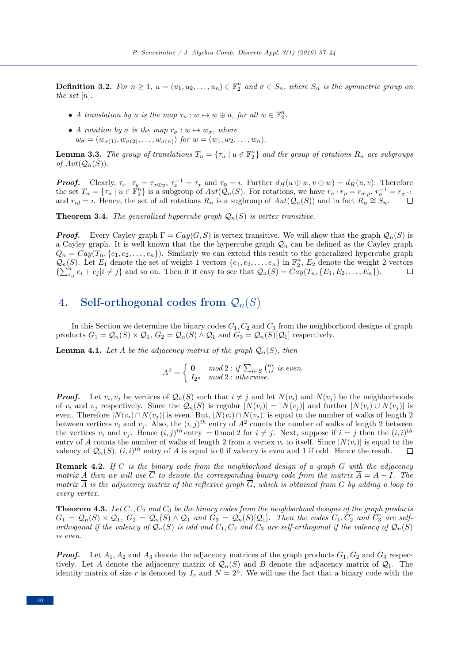**Definition 3.2.** For  $n \geq 1$ ,  $u = (u_1, u_2, \ldots, u_n) \in \mathbb{F}_2^n$  and  $\sigma \in S_n$ , where  $S_n$  is the symmetric group on the set  $[n]$ .

- A translation by u is the map  $\tau_u : w \mapsto w \oplus u$ , for all  $w \in \mathbb{F}_2^n$ .
- A rotation by  $\sigma$  is the map  $r_{\sigma}: w \mapsto w_{\sigma}$ , where  $w_{\sigma} = (w_{\sigma(1)}, w_{\sigma(2)}, \ldots, w_{\sigma(n)})$  for  $w = (w_1, w_2, \ldots, w_n)$ .

**Lemma 3.3.** The group of translations  $T_n = \{ \tau_u \mid u \in \mathbb{F}_2^n \}$  and the group of rotations  $R_n$  are subgroups of  $Aut(Q_n(S)).$ 

**Proof.** Clearly,  $\tau_x \cdot \tau_y = \tau_{x \oplus y}$ ,  $\tau_x^{-1} = \tau_x$  and  $\tau_0 = \iota$ . Further  $d_H(u \oplus w, v \oplus w) = d_H(u, v)$ . Therefore the set  $T_n = \{ \tau_u \mid u \in \mathbb{F}_2^n \}$  is a subgroup of  $Aut(\mathcal{Q}_n(S))$ . For rotations, we have  $r_\sigma \cdot r_\rho = r_{\sigma \cdot \rho}, r_\sigma^{-1} = r_{\sigma^{-1}}$ and  $r_{id} = i$ . Hence, the set of all rotations  $R_n$  is a sugbroup of  $Aut(Q_n(S))$  and in fact  $R_n \cong S_n$ .

**Theorem 3.4.** The generalized hypercube graph  $\mathcal{Q}_n(S)$  is vertex transitive.

**Proof.** Every Cayley graph  $\Gamma = Cay(G, S)$  is vertex transitive. We will show that the graph  $Q_n(S)$  is a Cayley graph. It is well known that the the hypercube graph  $\mathcal{Q}_n$  can be defined as the Cayley graph  $Q_n = Cay(T_n, \{e_1, e_2, \ldots, e_n\})$ . Similarly we can extend this result to the generalized hypercube graph  $\mathcal{Q}_n(S)$ . Let  $E_1$  denote the set of weight 1 vectors  $\{e_1, e_2, \ldots, e_n\}$  in  $\mathbb{F}_2^n$ ,  $E_2$  denote the weight 2 vectors  $\{\sum_{i,j}^{n} e_i + e_j | i \neq j\}$  and so on. Then it it easy to see that  $\mathcal{Q}_n(S) = \mathcal{C} \mathcal{Q}(\mathcal{T}_n, \{E_1, E_2, \ldots, E_n\}).$ 

### <span id="page-3-0"></span>4. Self-orthogonal codes from  $\mathcal{Q}_n(S)$

In this Section we determine the binary codes  $C_1, C_2$  and  $C_3$  from the neighborhood designs of graph products  $G_1 = \mathcal{Q}_n(S) \times \mathcal{Q}_1$ ,  $G_2 = \mathcal{Q}_n(S) \wedge \mathcal{Q}_1$  and  $G_3 = \mathcal{Q}_n(S)[\mathcal{Q}_1]$  respectively.

<span id="page-3-1"></span>**Lemma 4.1.** Let A be the adjacency matrix of the graph  $\mathcal{Q}_n(S)$ , then

$$
A^{2} = \begin{cases} \n\mathbf{0} & \text{mod } 2 : \text{if } \sum_{i \in S} \binom{n}{i} \text{ is even.} \\ \nI_{2^{n}} & \text{mod } 2 : \text{otherwise.} \n\end{cases}
$$

**Proof.** Let  $v_i, v_j$  be vertices of  $\mathcal{Q}_n(S)$  such that  $i \neq j$  and let  $N(v_i)$  and  $N(v_j)$  be the neighborhoods of  $v_i$  and  $v_j$  respectively. Since the  $\mathcal{Q}_n(S)$  is regular  $|N(v_i)| = |N(v_j)|$  and further  $|N(v_i) \cup N(v_j)|$  is even. Therefore  $|N(v_i) \cap N(v_j)|$  is even. But,  $|N(v_i) \cap N(v_j)|$  is equal to the number of walks of length 2 between vertices  $v_i$  and  $v_j$ . Also, the  $(i, j)^{th}$  entry of  $A^2$  counts the number of walks of length 2 between the vertices  $v_i$  and  $v_j$ . Hence  $(i, j)$ <sup>th</sup> entry = 0 mod 2 for  $i \neq j$ . Next, suppose if  $i = j$  then the  $(i, i)$ <sup>th</sup> entry of A counts the number of walks of length 2 from a vertex  $v_i$  to itself. Since  $|N(v_i)|$  is equal to the valency of  $\mathcal{Q}_n(S)$ ,  $(i, i)^{th}$  entry of A is equal to 0 if valency is even and 1 if odd. Hence the result.

**Remark 4.2.** If C is the binary code from the neighborhood design of a graph G with the adjacency matrix A then we will use  $\overline{C}$  to denote the corresponding binary code from the matrix  $\overline{A} = A + I$ . The matrix A is the adjacency matrix of the reflexive graph  $G$ , which is obtained from  $G$  by adding a loop to every vertex.

**Theorem 4.3.** Let  $C_1$ ,  $C_2$  and  $C_3$  be the binary codes from the neighborhood designs of the graph products  $G_1 = \mathcal{Q}_n(S) \times \mathcal{Q}_1, G_2 = \mathcal{Q}_n(S) \wedge \mathcal{Q}_1$  and  $G_3 = \mathcal{Q}_n(S)[\mathcal{Q}_1]$ . Then the codes  $C_1, C_2$  and  $C_3$  are selforthogonal if the valency of  $\mathcal{Q}_n(S)$  is odd and  $\overline{C_1}, C_2$  and  $\overline{C_3}$  are self-orthogonal if the valency of  $\mathcal{Q}_n(S)$ is even.

**Proof.** Let  $A_1, A_2$  and  $A_3$  denote the adjacency matrices of the graph products  $G_1, G_2$  and  $G_3$  respectively. Let A denote the adjacency matrix of  $\mathcal{Q}_n(S)$  and B denote the adjacency matrix of  $\mathcal{Q}_1$ . The identity matrix of size r is denoted by  $I_r$  and  $N = 2<sup>n</sup>$ . We will use the fact that a binary code with the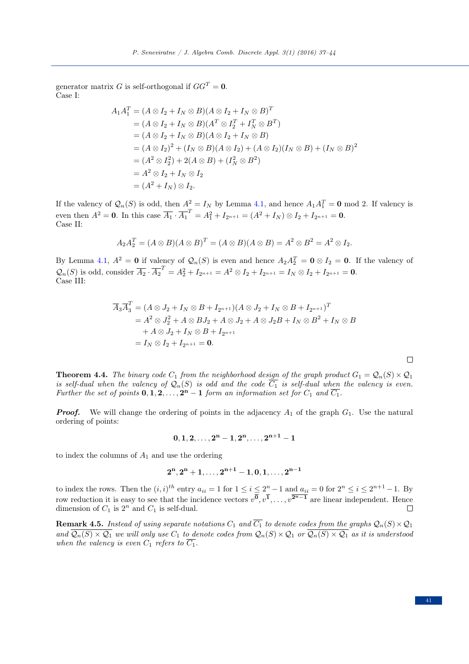generator matrix G is self-orthogonal if  $GG^T = 0$ . Case I:

$$
A_1 A_1^T = (A \otimes I_2 + I_N \otimes B)(A \otimes I_2 + I_N \otimes B)^T
$$
  
=  $(A \otimes I_2 + I_N \otimes B)(A^T \otimes I_2^T + I_N^T \otimes B^T)$   
=  $(A \otimes I_2 + I_N \otimes B)(A \otimes I_2 + I_N \otimes B)$   
=  $(A \otimes I_2)^2 + (I_N \otimes B)(A \otimes I_2) + (A \otimes I_2)(I_N \otimes B) + (I_N \otimes B)^2$   
=  $(A^2 \otimes I_2^2) + 2(A \otimes B) + (I_N^2 \otimes B^2)$   
=  $A^2 \otimes I_2 + I_N \otimes I_2$   
=  $(A^2 + I_N) \otimes I_2$ .

If the valency of  $\mathcal{Q}_n(S)$  is odd, then  $A^2 = I_N$  by Lemma [4.1,](#page-3-1) and hence  $A_1 A_1^T = \mathbf{0} \mod 2$ . If valency is even then  $A^2 = 0$ . In this case  $\overline{A_1} \cdot \overline{A_1}^T = A_1^2 + I_{2^{n+1}} = (A^2 + I_N) \otimes I_2 + I_{2^{n+1}} = 0$ . Case II:

$$
A_2A_2^T = (A \otimes B)(A \otimes B)^T = (A \otimes B)(A \otimes B) = A^2 \otimes B^2 = A^2 \otimes I_2.
$$

By Lemma [4.1,](#page-3-1)  $A^2 = 0$  if valency of  $\mathcal{Q}_n(S)$  is even and hence  $A_2 A_2^T = 0 \otimes I_2 = 0$ . If the valency of  $\mathcal{Q}_n(S)$  is odd, consider  $\overline{A_2} \cdot \overline{A_2}^T = A_2^2 + I_{2^{n+1}} = A^2 \otimes I_2 + I_{2^{n+1}} = I_N \otimes I_2 + I_{2^{n+1}} = \mathbf{0}$ . Case III:

$$
\overline{A}_{3}\overline{A}_{3}^{T} = (A \otimes J_{2} + I_{N} \otimes B + I_{2^{n+1}})(A \otimes J_{2} + I_{N} \otimes B + I_{2^{n+1}})^{T}
$$
  
=  $A^{2} \otimes J_{2}^{2} + A \otimes B J_{2} + A \otimes J_{2} + A \otimes J_{2}B + I_{N} \otimes B^{2} + I_{N} \otimes B$   
+  $A \otimes J_{2} + I_{N} \otimes B + I_{2^{n+1}}$   
=  $I_{N} \otimes I_{2} + I_{2^{n+1}} = 0.$ 

<span id="page-4-0"></span>**Theorem 4.4.** The binary code  $C_1$  from the neighborhood design of the graph product  $G_1 = Q_n(S) \times Q_1$ is self-dual when the valency of  $\mathcal{Q}_n(S)$  is odd and the code  $\overline{C_1}$  is self-dual when the valency is even. Further the set of points  $0, 1, 2, \ldots, 2<sup>n</sup> - 1$  form an information set for  $C_1$  and  $\overline{C_1}$ .

**Proof.** We will change the ordering of points in the adjacency  $A_1$  of the graph  $G_1$ . Use the natural ordering of points:

$$
0,1,2,\ldots,2^n-1,2^n,\ldots,2^{n+1}-1
$$

to index the columns of  $A_1$  and use the ordering

$$
2^n, 2^n+1, \ldots, 2^{n+1}-1, 0, 1, \ldots, 2^{n-1}
$$

to index the rows. Then the  $(i, i)^{th}$  entry  $a_{ii} = 1$  for  $1 \le i \le 2^n - 1$  and  $a_{ii} = 0$  for  $2^n \le i \le 2^{n+1} - 1$ . By row reduction it is easy to see that the incidence vectors  $v^{\overline{0}}, v^{\overline{1}}, \ldots, v^{\overline{2^{n-1}}}$  are linear independent. Hence dimension of  $C_1$  is  $2^n$  and  $C_1$  is self-dual.  $\Box$ 

**Remark 4.5.** Instead of using separate notations  $C_1$  and  $\overline{C_1}$  to denote codes from the graphs  $\mathcal{Q}_n(S) \times \mathcal{Q}_1$ and  $\overline{Q_n(S) \times Q_1}$  we will only use  $C_1$  to denote codes from  $Q_n(S) \times Q_1$  or  $\overline{Q_n(S) \times Q_1}$  as it is understood when the valency is even  $C_1$  refers to  $\overline{C_1}$ .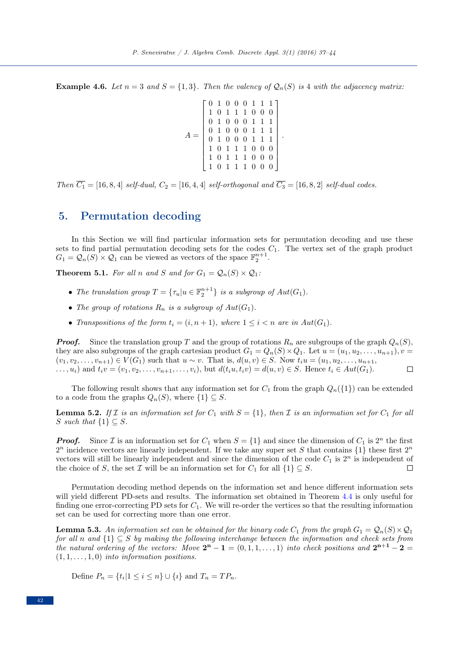**Example 4.6.** Let  $n = 3$  and  $S = \{1,3\}$ . Then the valency of  $\mathcal{Q}_n(S)$  is 4 with the adjacency matrix:

 $A =$  $\sqrt{ }$  0 1 0 0 0 1 1 1 1 0 1 1 1 0 0 0 0 1 0 0 0 1 1 1 0 1 0 0 0 1 1 1 0 1 0 0 0 1 1 1 1 0 1 1 1 0 0 0 1 0 1 1 1 0 0 0 1 0 1 1 1 0 0 0 

.

Then  $\overline{C_1}$  = [16, 8, 4] self-dual,  $C_2 =$  [16, 4, 4] self-orthogonal and  $\overline{C_3}$  = [16, 8, 2] self-dual codes.

### <span id="page-5-0"></span>5. Permutation decoding

In this Section we will find particular information sets for permutation decoding and use these sets to find partial permutation decoding sets for the codes  $C_1$ . The vertex set of the graph product  $G_1 = \mathcal{Q}_n(S) \times \mathcal{Q}_1$  can be viewed as vectors of the space  $\mathbb{F}_2^{n+1}$ .

**Theorem 5.1.** For all n and S and for  $G_1 = Q_n(S) \times Q_1$ .

- The translation group  $T = {\tau_u | u \in \mathbb{F}_2^{n+1}}$  is a subgroup of  $Aut(G_1)$ .
- The group of rotations  $R_n$  is a subgroup of  $Aut(G_1)$ .
- Transpositions of the form  $t_i = (i, n + 1)$ , where  $1 \leq i < n$  are in  $Aut(G_1)$ .

**Proof.** Since the translation group T and the group of rotations  $R_n$  are subgroups of the graph  $Q_n(S)$ , they are also subgroups of the graph cartesian product  $G_1 = Q_n(S) \times Q_1$ . Let  $u = (u_1, u_2, \dots, u_{n+1}), v =$  $(v_1, v_2, \ldots, v_{n+1}) \in V(G_1)$  such that  $u \sim v$ . That is,  $d(u, v) \in S$ . Now  $t_i u = (u_1, u_2, \ldots, u_{n+1}, u_n)$ ...,  $u_i$ ) and  $t_i v = (v_1, v_2, \ldots, v_{n+1}, \ldots, v_i)$ , but  $d(t_i u, t_i v) = d(u, v) \in S$ . Hence  $t_i \in Aut(G_1)$ .  $\Box$ 

The following result shows that any information set for  $C_1$  from the graph  $Q_n({1})$  can be extended to a code from the graphs  $Q_n(S)$ , where  $\{1\} \subseteq S$ .

**Lemma 5.2.** If I is an information set for  $C_1$  with  $S = \{1\}$ , then I is an information set for  $C_1$  for all S such that  $\{1\} \subseteq S$ .

**Proof.** Since  $\mathcal{I}$  is an information set for  $C_1$  when  $S = \{1\}$  and since the dimension of  $C_1$  is  $2^n$  the first  $2^n$  incidence vectors are linearly independent. If we take any super set S that contains  $\{1\}$  these first  $2^n$ vectors will still be linearly independent and since the dimension of the code  $C_1$  is  $2^n$  is independent of the choice of S, the set  $\mathcal I$  will be an information set for  $C_1$  for all  $\{1\} \subseteq S$ .  $\Box$ 

Permutation decoding method depends on the information set and hence different information sets will yield different PD-sets and results. The information set obtained in Theorem [4.4](#page-4-0) is only useful for finding one error-correcting PD sets for  $C_1$ . We will re-order the vertices so that the resulting information set can be used for correcting more than one error.

**Lemma 5.3.** An information set can be obtained for the binary code  $C_1$  from the graph  $G_1 = Q_n(S) \times Q_1$ for all n and  $\{1\} \subseteq S$  by making the following interchange between the information and check sets from the natural ordering of the vectors: Move  $2^{n} - 1 = (0, 1, 1, \ldots, 1)$  into check positions and  $2^{n+1} - 2 =$  $(1, 1, \ldots, 1, 0)$  into information positions.

Define  $P_n = \{t_i | 1 \le i \le n\} \cup \{i\}$  and  $T_n = TP_n$ .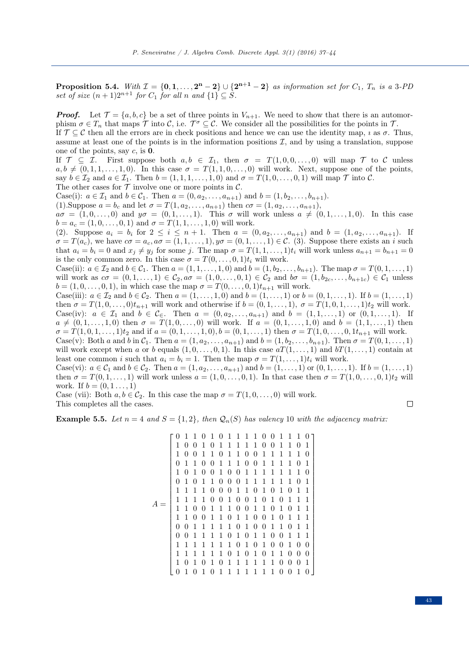<span id="page-6-0"></span>**Proposition 5.4.** With  $\mathcal{I} = \{0, 1, \ldots, 2^n - 2\} \cup \{2^{n+1} - 2\}$  as information set for  $C_1$ ,  $T_n$  is a 3-PD set of size  $(n+1)2^{n+1}$  for  $C_1$  for all n and  $\{1\} \subseteq S$ .

**Proof.** Let  $\mathcal{T} = \{a, b, c\}$  be a set of three points in  $V_{n+1}$ . We need to show that there is an automorphism  $\sigma \in T_n$  that maps  $\mathcal T$  into  $\mathcal C$ , i.e.  $\mathcal T^{\sigma} \subseteq \mathcal C$ . We consider all the possibilities for the points in  $\mathcal T$ . If  $\mathcal{T} \subseteq \mathcal{C}$  then all the errors are in check positions and hence we can use the identity map,  $\imath$  as  $\sigma$ . Thus, assume at least one of the points is in the information positions  $I$ , and by using a translation, suppose one of the points, say  $c$ , is  $0$ . If  $\mathcal{T} \subseteq \mathcal{I}$ . First suppose both  $a, b \in \mathcal{I}_1$ , then  $\sigma = T(1, 0, 0, \ldots, 0)$  will map  $\mathcal{T}$  to C unless  $a, b \neq (0, 1, 1, \ldots, 1, 0)$ . In this case  $\sigma = T(1, 1, 0, \ldots, 0)$  will work. Next, suppose one of the points, say  $b \in \mathcal{I}_2$  and  $a \in \mathcal{I}_1$ . Then  $b = (1, 1, 1, \ldots, 1, 0)$  and  $\sigma = T(1, 0, \ldots, 0, 1)$  will map  $\mathcal T$  into  $\mathcal C$ . The other cases for  $\mathcal T$  involve one or more points in  $\mathcal C$ . Case(i):  $a \in \mathcal{I}_1$  and  $b \in \mathcal{C}_1$ . Then  $a = (0, a_2, \ldots, a_{n+1})$  and  $b = (1, b_2, \ldots, b_{n+1})$ . (1). Suppose  $a = b_c$  and let  $\sigma = T(1, a_2, \ldots, a_{n+1})$  then  $c\sigma = (1, a_2, \ldots, a_{n+1}),$  $a\sigma = (1, 0, \ldots, 0)$  and  $y\sigma = (0, 1, \ldots, 1)$ . This  $\sigma$  will work unless  $a \neq (0, 1, \ldots, 1, 0)$ . In this case  $b = a_c = (1, 0, \ldots, 0, 1)$  and  $\sigma = T(1, 1, \ldots, 1, 0)$  will work. (2). Suppose  $a_i = b_i$  for  $2 \le i \le n+1$ . Then  $a = (0, a_2, \ldots, a_{n+1})$  and  $b = (1, a_2, \ldots, a_{n+1})$ . If  $\sigma = T(a_c)$ , we have  $c\sigma = a_c, a\sigma = (1, 1, \ldots, 1), y\sigma = (0, 1, \ldots, 1) \in \mathcal{C}$ . (3). Suppose there exists an i such that  $a_i = b_i = 0$  and  $x_j \neq y_j$  for some j. The map  $\sigma = T(1, 1, \ldots, 1)t_i$  will work unless  $a_{n+1} = b_{n+1} = 0$ is the only common zero. In this case  $\sigma = T(0, \ldots, 0, 1)t_i$  will work. Case(ii):  $a \in \mathcal{I}_2$  and  $b \in \mathcal{C}_1$ . Then  $a = (1, 1, \ldots, 1, 0)$  and  $b = (1, b_2, \ldots, b_{n+1})$ . The map  $\sigma = T(0, 1, \ldots, 1)$ will work as  $c\sigma = (0, 1, \ldots, 1) \in C_2$ ,  $a\sigma = (1, 0, \ldots, 0, 1) \in C_2$  and  $b\sigma = (1, b_{2c}, \ldots, b_{n+1c}) \in C_1$  unless  $b = (1, 0, \ldots, 0, 1)$ , in which case the map  $\sigma = T(0, \ldots, 0, 1)t_{n+1}$  will work. Case(iii):  $a \in \mathcal{I}_2$  and  $b \in \mathcal{C}_2$ . Then  $a = (1, \ldots, 1, 0)$  and  $b = (1, \ldots, 1)$  or  $b = (0, 1, \ldots, 1)$ . If  $b = (1, \ldots, 1)$ then  $\sigma = T(1,0,\ldots,0)t_{n+1}$  will work and otherwise if  $b = (0,1,\ldots,1)$ ,  $\sigma = T(1,0,1,\ldots,1)t_2$  will work. Case(iv):  $a \in \mathcal{I}_1$  and  $b \in \mathcal{C}_{\in}$ . Then  $a = (0, a_2, \ldots, a_{n+1})$  and  $b = (1, 1, \ldots, 1)$  or  $(0, 1, \ldots, 1)$ . If  $a \neq (0, 1, \ldots, 1, 0)$  then  $\sigma = T(1, 0, \ldots, 0)$  will work. If  $a = (0, 1, \ldots, 1, 0)$  and  $b = (1, 1, \ldots, 1)$  then  $\sigma = T(1,0,1,\ldots,1)t_2$  and if  $a = (0,1,\ldots,1,0), b = (0,1,\ldots,1)$  then  $\sigma = T(1,0,\ldots,0,1t_{n+1}$  will work. Case(v): Both a and b in  $C_1$ . Then  $a = (1, a_2, ..., a_{n+1})$  and  $b = (1, b_2, ..., b_{n+1})$ . Then  $\sigma = T(0, 1, ..., 1)$ will work except when a or b equals  $(1, 0, \ldots, 0, 1)$ . In this case  $aT(1, \ldots, 1)$  and  $bT(1, \ldots, 1)$  contain at least one common i such that  $a_i = b_i = 1$ . Then the map  $\sigma = T(1, \ldots, 1)t_i$  will work. Case(vi):  $a \in C_1$  and  $b \in C_2$ . Then  $a = (1, a_2, \ldots, a_{n+1})$  and  $b = (1, \ldots, 1)$  or  $(0, 1, \ldots, 1)$ . If  $b = (1, \ldots, 1)$ then  $\sigma = T(0,1,\ldots,1)$  will work unless  $a = (1,0,\ldots,0,1)$ . In that case then  $\sigma = T(1,0,\ldots,0,1)$ t<sub>2</sub> will work. If  $b = (0, 1, \ldots, 1)$ 

Case (vii): Both  $a, b \in C_2$ . In this case the map  $\sigma = T(1, 0, \ldots, 0)$  will work. This completes all the cases.

**Example 5.5.** Let  $n = 4$  and  $S = \{1, 2\}$ , then  $\mathcal{Q}_n(S)$  has valency 10 with the adjacency matrix:

$$
A = \begin{bmatrix} 0 & 1 & 1 & 0 & 1 & 0 & 1 & 1 & 1 & 1 & 0 & 0 & 1 & 1 & 1 & 1 & 0 \\ 1 & 0 & 0 & 1 & 0 & 1 & 1 & 1 & 1 & 1 & 0 & 0 & 1 & 1 & 0 & 1 \\ 1 & 0 & 0 & 1 & 1 & 0 & 1 & 1 & 1 & 0 & 0 & 1 & 1 & 1 & 1 & 1 & 0 \\ 0 & 1 & 1 & 0 & 0 & 1 & 0 & 1 & 1 & 1 & 1 & 1 & 1 & 1 & 0 & 1 \\ 1 & 0 & 1 & 0 & 0 & 1 & 0 & 1 & 1 & 1 & 1 & 1 & 1 & 1 & 0 & 1 \\ 1 & 1 & 1 & 1 & 0 & 0 & 0 & 1 & 1 & 1 & 1 & 1 & 1 & 1 & 0 & 1 \\ 1 & 1 & 1 & 1 & 0 & 0 & 1 & 0 & 1 & 0 & 1 & 0 & 1 & 1 & 1 \\ 1 & 1 & 0 & 0 & 1 & 1 & 1 & 0 & 0 & 1 & 0 & 1 & 0 & 1 & 1 \\ 1 & 1 & 0 & 0 & 1 & 1 & 1 & 1 & 0 & 1 & 0 & 1 & 0 & 1 & 1 \\ 0 & 0 & 1 & 1 & 1 & 1 & 1 & 0 & 1 & 0 & 0 & 1 & 0 & 1 & 1 \\ 0 & 0 & 1 & 1 & 1 & 1 & 1 & 0 & 1 & 0 & 1 & 0 & 1 & 0 & 1 \\ 1 & 1 & 1 & 1 & 1 & 1 & 1 & 0 & 1 & 0 & 1 & 0 & 1 & 0 & 0 \\ 1 & 1 & 1 & 1 & 1 & 1 & 1 & 0 & 1 & 0 & 1 & 0 & 1 & 0 \\ 0 & 1 & 0 & 1 & 0 & 1 & 1 & 1 & 1 & 1 & 1 & 1 & 0 & 0 & 1 \\ 0 & 1 & 0 & 1 & 0 & 1 & 1 & 1 & 1 & 1 & 1 & 1 & 0 & 0 & 1 \\ 0 & 1 & 0 & 1 & 0 & 1 & 1 & 1 & 1 & 1 & 1 & 0 & 0 & 1 \\ 0 & 1 & 0 & 1 &
$$

 $\Box$